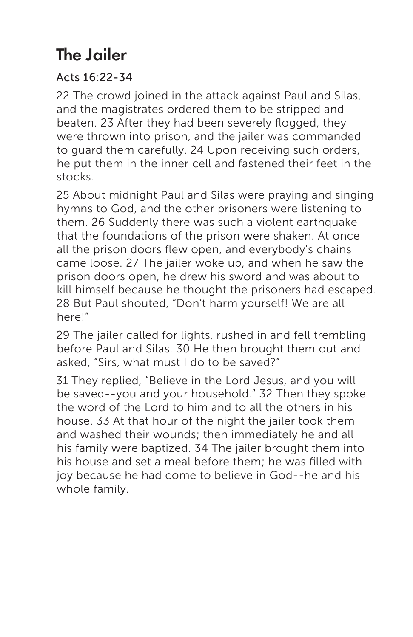## The Jailer

## Acts 16:22-34

22 The crowd joined in the attack against Paul and Silas, and the magistrates ordered them to be stripped and beaten. 23 After they had been severely flogged, they were thrown into prison, and the jailer was commanded to guard them carefully. 24 Upon receiving such orders, he put them in the inner cell and fastened their feet in the stocks.

25 About midnight Paul and Silas were praying and singing hymns to God, and the other prisoners were listening to them. 26 Suddenly there was such a violent earthquake that the foundations of the prison were shaken. At once all the prison doors flew open, and everybody's chains came loose. 27 The jailer woke up, and when he saw the prison doors open, he drew his sword and was about to kill himself because he thought the prisoners had escaped. 28 But Paul shouted, "Don't harm yourself! We are all here!"

29 The jailer called for lights, rushed in and fell trembling before Paul and Silas. 30 He then brought them out and asked, "Sirs, what must I do to be saved?"

31 They replied, "Believe in the Lord Jesus, and you will be saved--you and your household." 32 Then they spoke the word of the Lord to him and to all the others in his house. 33 At that hour of the night the jailer took them and washed their wounds; then immediately he and all his family were baptized. 34 The jailer brought them into his house and set a meal before them; he was filled with joy because he had come to believe in God--he and his whole family.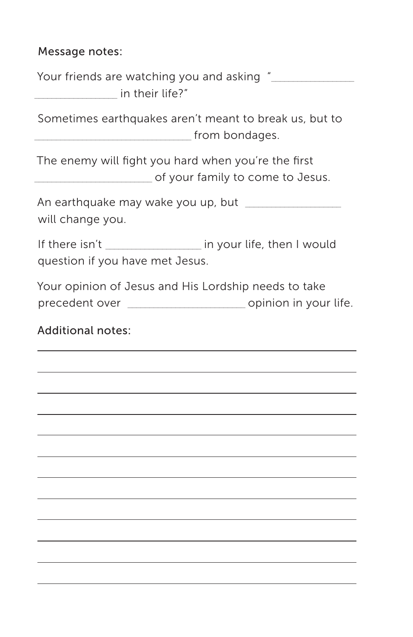## Message notes:

Your friends are watching you and asking "  $\blacksquare$  in their life?"

Sometimes earthquakes aren't meant to break us, but to \_\_\_\_\_\_\_\_\_\_\_\_\_\_\_\_\_\_\_\_\_\_\_\_\_\_\_\_\_\_\_\_\_\_\_\_ from bondages.

The enemy will fight you hard when you're the first of your family to come to Jesus.

An earthquake may wake you up, but will change you.

If there isn't in your life, then I would question if you have met Jesus.

Your opinion of Jesus and His Lordship needs to take precedent over \_\_\_\_\_\_\_\_\_\_\_\_\_\_\_\_\_\_\_\_\_\_\_\_\_\_\_ opinion in your life.

Additional notes: